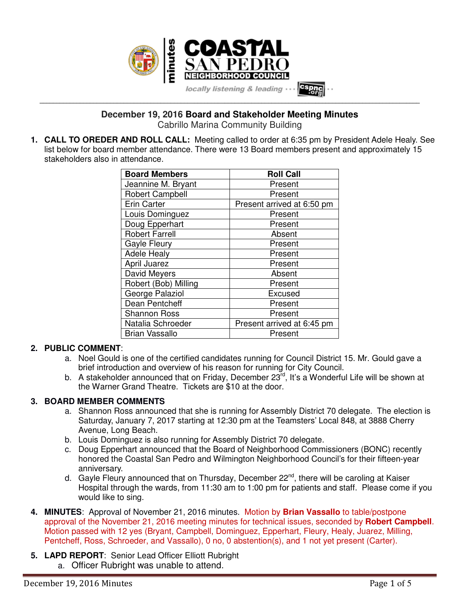

**December 19, 2016 Board and Stakeholder Meeting Minutes** Cabrillo Marina Community Building

**\_\_\_\_\_\_\_\_\_\_\_\_\_\_\_\_\_\_\_\_\_\_\_\_\_\_\_\_\_\_\_\_\_\_\_\_\_\_\_\_\_\_\_\_\_\_\_\_\_\_\_\_\_\_\_\_\_\_\_\_\_\_\_\_\_\_\_\_\_\_\_\_\_\_\_\_\_\_\_\_\_\_\_\_\_\_\_\_\_\_\_\_\_\_\_\_\_\_\_\_\_\_\_\_\_\_\_\_\_\_\_\_\_**

**1. CALL TO OREDER AND ROLL CALL:** Meeting called to order at 6:35 pm by President Adele Healy. See list below for board member attendance. There were 13 Board members present and approximately 15 stakeholders also in attendance.

| <b>Board Members</b>   | <b>Roll Call</b>           |
|------------------------|----------------------------|
| Jeannine M. Bryant     | Present                    |
| <b>Robert Campbell</b> | Present                    |
| <b>Erin Carter</b>     | Present arrived at 6:50 pm |
| Louis Dominguez        | Present                    |
| Doug Epperhart         | Present                    |
| <b>Robert Farrell</b>  | Absent                     |
| <b>Gayle Fleury</b>    | Present                    |
| <b>Adele Healy</b>     | Present                    |
| April Juarez           | Present                    |
| David Meyers           | Absent                     |
| Robert (Bob) Milling   | Present                    |
| George Palaziol        | Excused                    |
| Dean Pentcheff         | Present                    |
| <b>Shannon Ross</b>    | Present                    |
| Natalia Schroeder      | Present arrived at 6:45 pm |
| <b>Brian Vassallo</b>  | Present                    |

### **2. PUBLIC COMMENT**:

- a. Noel Gould is one of the certified candidates running for Council District 15. Mr. Gould gave a brief introduction and overview of his reason for running for City Council.
- b. A stakeholder announced that on Friday, December  $23^{rd}$ , It's a Wonderful Life will be shown at the Warner Grand Theatre. Tickets are \$10 at the door.

#### **3. BOARD MEMBER COMMENTS**

- a. Shannon Ross announced that she is running for Assembly District 70 delegate. The election is Saturday, January 7, 2017 starting at 12:30 pm at the Teamsters' Local 848, at 3888 Cherry Avenue, Long Beach.
- b. Louis Dominguez is also running for Assembly District 70 delegate.
- c. Doug Epperhart announced that the Board of Neighborhood Commissioners (BONC) recently honored the Coastal San Pedro and Wilmington Neighborhood Council's for their fifteen-year anniversary.
- d. Gayle Fleury announced that on Thursday, December 22<sup>nd</sup>, there will be caroling at Kaiser Hospital through the wards, from 11:30 am to 1:00 pm for patients and staff. Please come if you would like to sing.
- **4. MINUTES**: Approval of November 21, 2016 minutes. Motion by **Brian Vassallo** to table/postpone approval of the November 21, 2016 meeting minutes for technical issues, seconded by **Robert Campbell**. Motion passed with 12 yes (Bryant, Campbell, Dominguez, Epperhart, Fleury, Healy, Juarez, Milling, Pentcheff, Ross, Schroeder, and Vassallo), 0 no, 0 abstention(s), and 1 not yet present (Carter).
- **5. LAPD REPORT**: Senior Lead Officer Elliott Rubright a. Officer Rubright was unable to attend.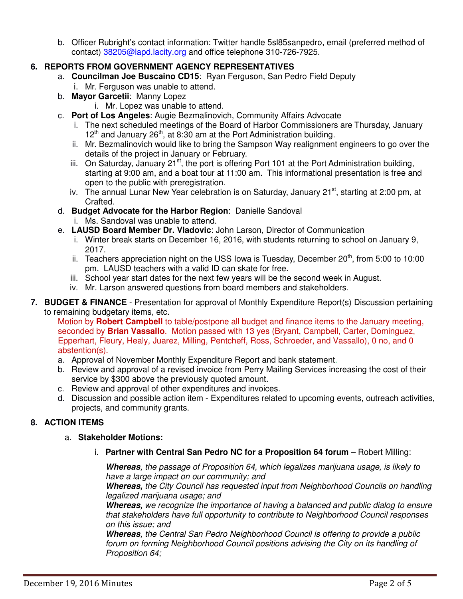b. Officer Rubright's contact information: Twitter handle 5sl85sanpedro, email (preferred method of contact) 38205@lapd.lacity.org and office telephone 310-726-7925.

## **6. REPORTS FROM GOVERNMENT AGENCY REPRESENTATIVES**

- a. **Councilman Joe Buscaino CD15**: Ryan Ferguson, San Pedro Field Deputy
	- i. Mr. Ferguson was unable to attend.
- b. **Mayor Garcetii**: Manny Lopez
	- i. Mr. Lopez was unable to attend.
- c. **Port of Los Angeles**: Augie Bezmalinovich, Community Affairs Advocate
	- i. The next scheduled meetings of the Board of Harbor Commissioners are Thursday, January  $12<sup>th</sup>$  and January 26<sup>th</sup>, at 8:30 am at the Port Administration building.
	- ii. Mr. Bezmalinovich would like to bring the Sampson Way realignment engineers to go over the details of the project in January or February.
	- iii. On Saturday, January 21<sup>st</sup>, the port is offering Port 101 at the Port Administration building, starting at 9:00 am, and a boat tour at 11:00 am. This informational presentation is free and open to the public with preregistration.
	- iv. The annual Lunar New Year celebration is on Saturday, January  $21^{st}$ , starting at 2:00 pm, at Crafted.
- d. **Budget Advocate for the Harbor Region**: Danielle Sandoval
	- i. Ms. Sandoval was unable to attend.
- e. **LAUSD Board Member Dr. Vladovic**: John Larson, Director of Communication
	- i. Winter break starts on December 16, 2016, with students returning to school on January 9, 2017.
	- ii. Teachers appreciation night on the USS Iowa is Tuesday, December  $20<sup>th</sup>$ , from 5:00 to 10:00 pm. LAUSD teachers with a valid ID can skate for free.
	- iii. School year start dates for the next few years will be the second week in August.
	- iv. Mr. Larson answered questions from board members and stakeholders.
- **7. BUDGET & FINANCE** Presentation for approval of Monthly Expenditure Report(s) Discussion pertaining to remaining budgetary items, etc.

Motion by **Robert Campbell** to table/postpone all budget and finance items to the January meeting, seconded by **Brian Vassallo**. Motion passed with 13 yes (Bryant, Campbell, Carter, Dominguez, Epperhart, Fleury, Healy, Juarez, Milling, Pentcheff, Ross, Schroeder, and Vassallo), 0 no, and 0 abstention(s).

- a. Approval of November Monthly Expenditure Report and bank statement.
- b. Review and approval of a revised invoice from Perry Mailing Services increasing the cost of their service by \$300 above the previously quoted amount.
- c. Review and approval of other expenditures and invoices.
- d. Discussion and possible action item Expenditures related to upcoming events, outreach activities, projects, and community grants.

# **8. ACTION ITEMS**

## a. **Stakeholder Motions:**

i. **Partner with Central San Pedro NC for a Proposition 64 forum** – Robert Milling:

**Whereas***, the passage of Proposition 64, which legalizes marijuana usage, is likely to have a large impact on our community; and*

**Whereas,** *the City Council has requested input from Neighborhood Councils on handling legalized marijuana usage; and*

**Whereas,** *we recognize the importance of having a balanced and public dialog to ensure that stakeholders have full opportunity to contribute to Neighborhood Council responses on this issue; and*

**Whereas***, the Central San Pedro Neighborhood Council is offering to provide a public*  forum on forming Neighborhood Council positions advising the City on its handling of *Proposition 64;*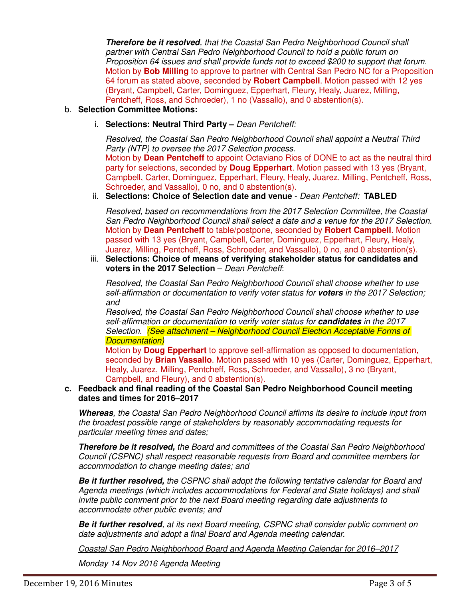**Therefore be it resolved***, that the Coastal San Pedro Neighborhood Council shall partner with Central San Pedro Neighborhood Council to hold a public forum on Proposition 64 issues and shall provide funds not to exceed \$200 to support that forum.*  Motion by **Bob Milling** to approve to partner with Central San Pedro NC for a Proposition 64 forum as stated above, seconded by **Robert Campbell**. Motion passed with 12 yes (Bryant, Campbell, Carter, Dominguez, Epperhart, Fleury, Healy, Juarez, Milling, Pentcheff, Ross, and Schroeder), 1 no (Vassallo), and 0 abstention(s).

### b. **Selection Committee Motions:**

i. **Selections: Neutral Third Party –** *Dean Pentcheff:* 

*Resolved, the Coastal San Pedro Neighborhood Council shall appoint a Neutral Third Party (NTP) to oversee the 2017 Selection process.*  Motion by **Dean Pentcheff** to appoint Octaviano Rios of DONE to act as the neutral third party for selections, seconded by **Doug Epperhart**. Motion passed with 13 yes (Bryant, Campbell, Carter, Dominguez, Epperhart, Fleury, Healy, Juarez, Milling, Pentcheff, Ross, Schroeder, and Vassallo), 0 no, and 0 abstention(s).

ii. **Selections: Choice of Selection date and venue** - *Dean Pentcheff:* **TABLED**

*Resolved, based on recommendations from the 2017 Selection Committee, the Coastal San Pedro Neighborhood Council shall select a date and a venue for the 2017 Selection.*  Motion by **Dean Pentcheff** to table/postpone, seconded by **Robert Campbell**. Motion passed with 13 yes (Bryant, Campbell, Carter, Dominguez, Epperhart, Fleury, Healy, Juarez, Milling, Pentcheff, Ross, Schroeder, and Vassallo), 0 no, and 0 abstention(s).

iii. **Selections: Choice of means of verifying stakeholder status for candidates and voters in the 2017 Selection** – *Dean Pentcheff*:

*Resolved, the Coastal San Pedro Neighborhood Council shall choose whether to use self-affirmation or documentation to verify voter status for* **voters** *in the 2017 Selection; and* 

*Resolved, the Coastal San Pedro Neighborhood Council shall choose whether to use self-affirmation or documentation to verify voter status for* **candidates** *in the 2017 Selection. (See attachment – Neighborhood Council Election Acceptable Forms of Documentation)* 

Motion by **Doug Epperhart** to approve self-affirmation as opposed to documentation, seconded by **Brian Vassallo**. Motion passed with 10 yes (Carter, Dominguez, Epperhart, Healy, Juarez, Milling, Pentcheff, Ross, Schroeder, and Vassallo), 3 no (Bryant, Campbell, and Fleury), and 0 abstention(s).

#### **c. Feedback and final reading of the Coastal San Pedro Neighborhood Council meeting dates and times for 2016–2017**

**Whereas***, the Coastal San Pedro Neighborhood Council affirms its desire to include input from the broadest possible range of stakeholders by reasonably accommodating requests for particular meeting times and dates;* 

**Therefore be it resolved,** *the Board and committees of the Coastal San Pedro Neighborhood Council (CSPNC) shall respect reasonable requests from Board and committee members for accommodation to change meeting dates; and* 

**Be it further resolved,** *the CSPNC shall adopt the following tentative calendar for Board and Agenda meetings (which includes accommodations for Federal and State holidays) and shall invite public comment prior to the next Board meeting regarding date adjustments to accommodate other public events; and* 

**Be it further resolved***, at its next Board meeting, CSPNC shall consider public comment on date adjustments and adopt a final Board and Agenda meeting calendar.* 

*Coastal San Pedro Neighborhood Board and Agenda Meeting Calendar for 2016–2017* 

*Monday 14 Nov 2016 Agenda Meeting*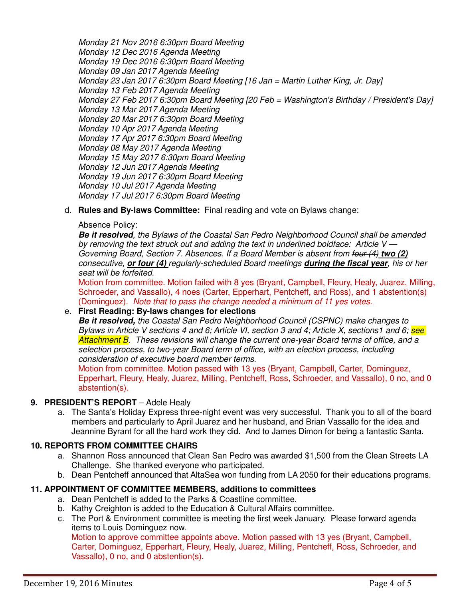*Monday 21 Nov 2016 6:30pm Board Meeting Monday 12 Dec 2016 Agenda Meeting Monday 19 Dec 2016 6:30pm Board Meeting Monday 09 Jan 2017 Agenda Meeting Monday 23 Jan 2017 6:30pm Board Meeting [16 Jan = Martin Luther King, Jr. Day] Monday 13 Feb 2017 Agenda Meeting Monday 27 Feb 2017 6:30pm Board Meeting [20 Feb = Washington's Birthday / President's Day] Monday 13 Mar 2017 Agenda Meeting Monday 20 Mar 2017 6:30pm Board Meeting Monday 10 Apr 2017 Agenda Meeting Monday 17 Apr 2017 6:30pm Board Meeting Monday 08 May 2017 Agenda Meeting Monday 15 May 2017 6:30pm Board Meeting Monday 12 Jun 2017 Agenda Meeting Monday 19 Jun 2017 6:30pm Board Meeting Monday 10 Jul 2017 Agenda Meeting Monday 17 Jul 2017 6:30pm Board Meeting* 

d. **Rules and By-laws Committee:** Final reading and vote on Bylaws change:

### Absence Policy:

**Be it resolved***, the Bylaws of the Coastal San Pedro Neighborhood Council shall be amended by removing the text struck out and adding the text in underlined boldface: Article V — Governing Board, Section 7. Absences. If a Board Member is absent from four (4)* **two (2)** *consecutive,* **or four (4)** *regularly-scheduled Board meetings* **during the fiscal year***, his or her seat will be forfeited.* 

Motion from committee. Motion failed with 8 yes (Bryant, Campbell, Fleury, Healy, Juarez, Milling, Schroeder, and Vassallo), 4 noes (Carter, Epperhart, Pentcheff, and Ross), and 1 abstention(s) (Dominguez). *Note that to pass the change needed a minimum of 11 yes votes.* 

### e. **First Reading: By-laws changes for elections**

**Be it resolved,** *the Coastal San Pedro Neighborhood Council (CSPNC) make changes to Bylaws in Article V sections 4 and 6; Article VI, section 3 and 4; Article X, sections1 and 6; see Attachment B. These revisions will change the current one-year Board terms of office, and a selection process, to two-year Board term of office, with an election process, including consideration of executive board member terms*.

Motion from committee. Motion passed with 13 yes (Bryant, Campbell, Carter, Dominguez, Epperhart, Fleury, Healy, Juarez, Milling, Pentcheff, Ross, Schroeder, and Vassallo), 0 no, and 0 abstention(s).

## **9. PRESIDENT'S REPORT** – Adele Healy

a. The Santa's Holiday Express three-night event was very successful. Thank you to all of the board members and particularly to April Juarez and her husband, and Brian Vassallo for the idea and Jeannine Byrant for all the hard work they did. And to James Dimon for being a fantastic Santa.

## **10. REPORTS FROM COMMITTEE CHAIRS**

- a. Shannon Ross announced that Clean San Pedro was awarded \$1,500 from the Clean Streets LA Challenge. She thanked everyone who participated.
- b. Dean Pentcheff announced that AltaSea won funding from LA 2050 for their educations programs.

## **11. APPOINTMENT OF COMMITTEE MEMBERS, additions to committees**

- a. Dean Pentcheff is added to the Parks & Coastline committee.
- b. Kathy Creighton is added to the Education & Cultural Affairs committee.
- c. The Port & Environment committee is meeting the first week January. Please forward agenda items to Louis Dominguez now.

Motion to approve committee appoints above. Motion passed with 13 yes (Bryant, Campbell, Carter, Dominguez, Epperhart, Fleury, Healy, Juarez, Milling, Pentcheff, Ross, Schroeder, and Vassallo), 0 no, and 0 abstention(s).